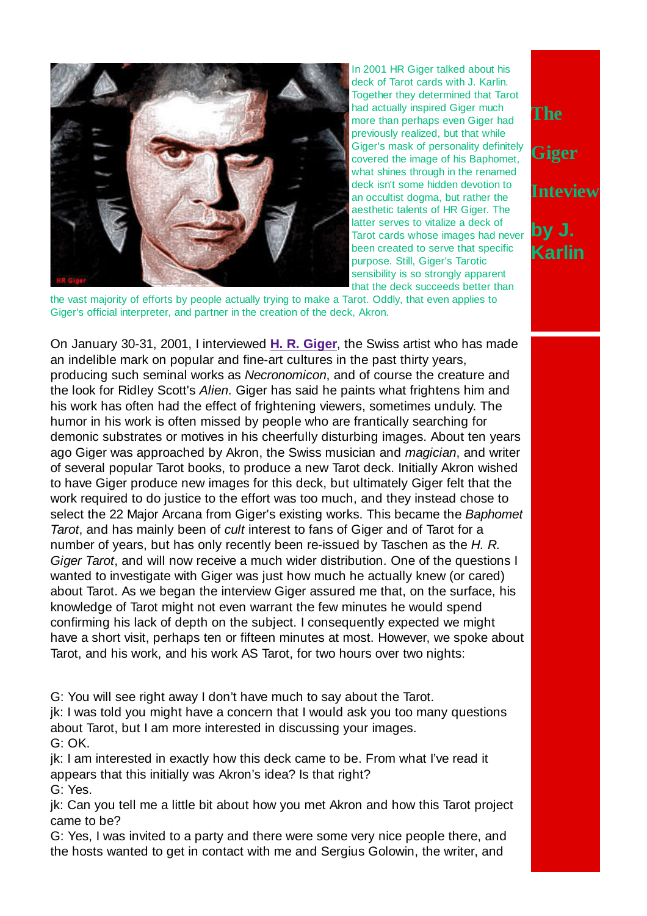

In 2001 HR Giger talked about his deck of Tarot cards with J. Karlin. Together they determined that Tarot had actually inspired Giger much more than perhaps even Giger had previously realized, but that while Giger's mask of personality definitely covered the image of his Baphomet, what shines through in the renamed deck isn't some hidden devotion to an occultist dogma, but rather the aesthetic talents of HR Giger. The latter serves to vitalize a deck of Tarot cards whose images had never been created to serve that specific purpose. Still, Giger's Tarotic sensibility is so strongly apparent that the deck succeeds better than

the vast majority of efforts by people actually trying to make a Tarot. Oddly, that even applies to Giger's official interpreter, and partner in the creation of the deck, Akron.

On January 30-31, 2001, I interviewed **H. R. Giger**, the Swiss artist who has made an indelible mark on popular and fine-art cultures in the past thirty years, producing such seminal works as Necronomicon, and of course the creature and the look for Ridley Scott's Alien. Giger has said he paints what frightens him and his work has often had the effect of frightening viewers, sometimes unduly. The humor in his work is often missed by people who are frantically searching for demonic substrates or motives in his cheerfully disturbing images. About ten years ago Giger was approached by Akron, the Swiss musician and magician, and writer of several popular Tarot books, to produce a new Tarot deck. Initially Akron wished to have Giger produce new images for this deck, but ultimately Giger felt that the work required to do justice to the effort was too much, and they instead chose to select the 22 Major Arcana from Giger's existing works. This became the Baphomet Tarot, and has mainly been of cult interest to fans of Giger and of Tarot for a number of years, but has only recently been re-issued by Taschen as the H.R. Giger Tarot, and will now receive a much wider distribution. One of the questions I wanted to investigate with Giger was just how much he actually knew (or cared) about Tarot. As we began the interview Giger assured me that, on the surface, his knowledge of Tarot might not even warrant the few minutes he would spend confirming his lack of depth on the subject. I consequently expected we might have a short visit, perhaps ten or fifteen minutes at most. However, we spoke about Tarot, and his work, and his work AS Tarot, for two hours over two nights:

G: You will see right away I don't have much to say about the Tarot.

jk: I was told you might have a concern that I would ask you too many questions about Tarot, but I am more interested in discussing your images. G: OK.

jk: I am interested in exactly how this deck came to be. From what I've read it appears that this initially was Akron's idea? Is that right? G: Yes.

jk: Can you tell me a little bit about how you met Akron and how this Tarot project came to be?

G: Yes, I was invited to a party and there were some very nice people there, and the hosts wanted to get in contact with me and Sergius Golowin, the writer, and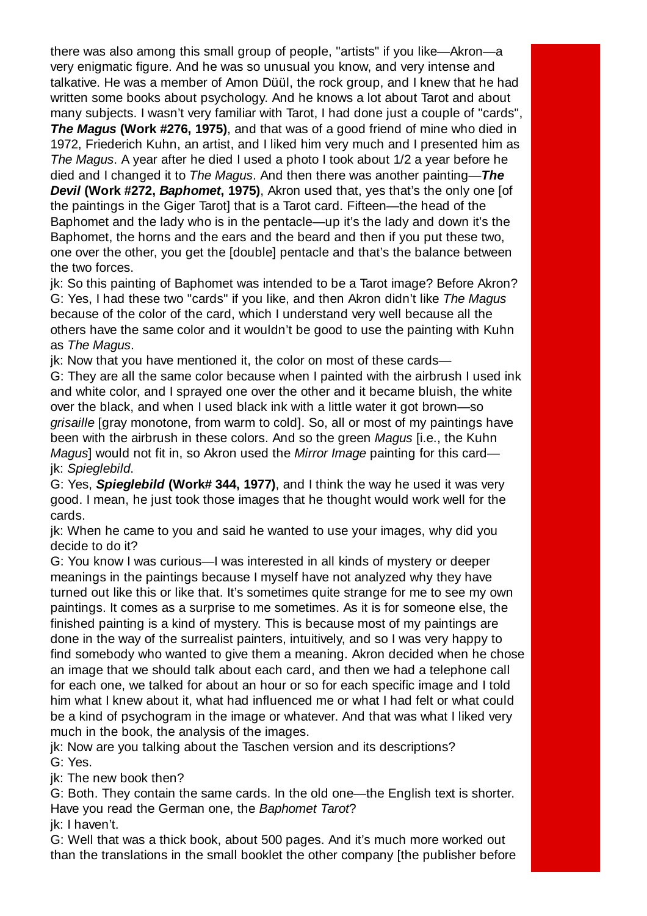there was also among this small group of people, "artists" if you like—Akron—a very enigmatic figure. And he was so unusual you know, and very intense and talkative. He was a member of Amon Düül, the rock group, and I knew that he had written some books about psychology. And he knows a lot about Tarot and about many subjects. I wasn't very familiar with Tarot, I had done just a couple of "cards", **The Magus (Work #276, 1975)**, and that was of a good friend of mine who died in 1972, Friederich Kuhn, an artist, and I liked him very much and I presented him as The Magus. A year after he died I used a photo I took about 1/2 a year before he died and I changed it to The Magus. And then there was another painting—**The Devil (Work #272, Baphomet, 1975)**, Akron used that, yes that's the only one [of the paintings in the Giger Tarot] that is a Tarot card. Fifteen—the head of the Baphomet and the lady who is in the pentacle—up it's the lady and down it's the Baphomet, the horns and the ears and the beard and then if you put these two, one over the other, you get the [double] pentacle and that's the balance between

the two forces.

jk: So this painting of Baphomet was intended to be a Tarot image? Before Akron? G: Yes, I had these two "cards" if you like, and then Akron didn't like The Magus because of the color of the card, which I understand very well because all the others have the same color and it wouldn't be good to use the painting with Kuhn as The Magus.

jk: Now that you have mentioned it, the color on most of these cards—

G: They are all the same color because when I painted with the airbrush I used ink and white color, and I sprayed one over the other and it became bluish, the white over the black, and when I used black ink with a little water it got brown—so grisaille [gray monotone, from warm to cold]. So, all or most of my paintings have been with the airbrush in these colors. And so the green Magus [i.e., the Kuhn Magus] would not fit in, so Akron used the Mirror Image painting for this card jk: Spieglebild.

G: Yes, **Spieglebild (Work# 344, 1977)**, and I think the way he used it was very good. I mean, he just took those images that he thought would work well for the cards.

jk: When he came to you and said he wanted to use your images, why did you decide to do it?

G: You know I was curious—I was interested in all kinds of mystery or deeper meanings in the paintings because I myself have not analyzed why they have turned out like this or like that. It's sometimes quite strange for me to see my own paintings. It comes as a surprise to me sometimes. As it is for someone else, the finished painting is a kind of mystery. This is because most of my paintings are done in the way of the surrealist painters, intuitively, and so I was very happy to find somebody who wanted to give them a meaning. Akron decided when he chose an image that we should talk about each card, and then we had a telephone call for each one, we talked for about an hour or so for each specific image and I told him what I knew about it, what had influenced me or what I had felt or what could be a kind of psychogram in the image or whatever. And that was what I liked very much in the book, the analysis of the images.

jk: Now are you talking about the Taschen version and its descriptions? G: Yes.

jk: The new book then?

G: Both. They contain the same cards. In the old one—the English text is shorter. Have you read the German one, the Baphomet Tarot?

jk: I haven't.

G: Well that was a thick book, about 500 pages. And it's much more worked out than the translations in the small booklet the other company [the publisher before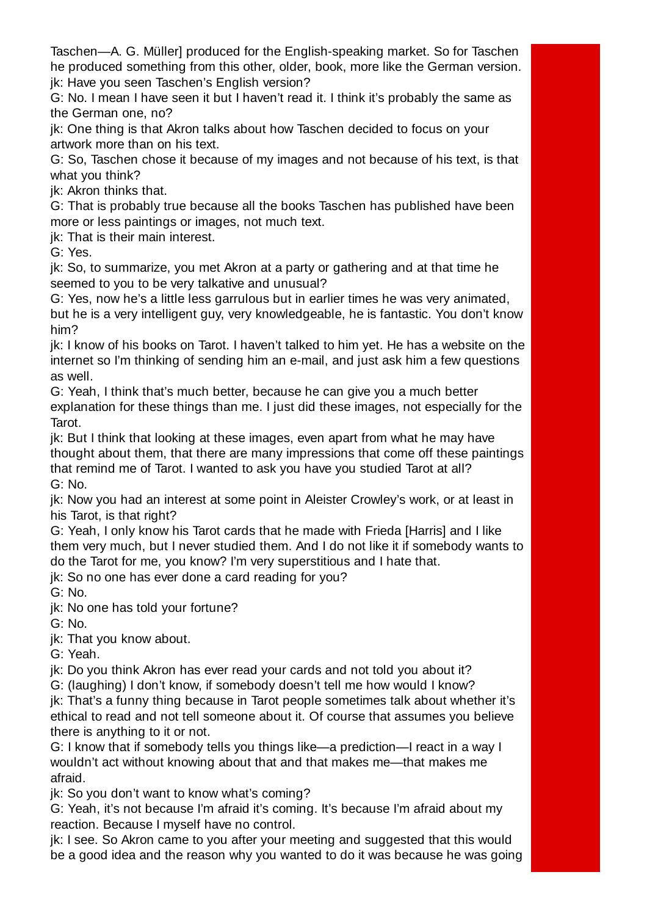Taschen—A. G. Müller] produced for the English-speaking market. So for Taschen he produced something from this other, older, book, more like the German version. jk: Have you seen Taschen's English version?

G: No. I mean I have seen it but I haven't read it. I think it's probably the same as the German one, no?

jk: One thing is that Akron talks about how Taschen decided to focus on your artwork more than on his text.

G: So, Taschen chose it because of my images and not because of his text, is that what you think?

jk: Akron thinks that.

G: That is probably true because all the books Taschen has published have been more or less paintings or images, not much text.

ik: That is their main interest.

G: Yes.

jk: So, to summarize, you met Akron at a party or gathering and at that time he seemed to you to be very talkative and unusual?

G: Yes, now he's a little less garrulous but in earlier times he was very animated, but he is a very intelligent guy, very knowledgeable, he is fantastic. You don't know him?

jk: I know of his books on Tarot. I haven't talked to him yet. He has a website on the internet so I'm thinking of sending him an e-mail, and just ask him a few questions as well.

G: Yeah, I think that's much better, because he can give you a much better explanation for these things than me. I just did these images, not especially for the Tarot.

jk: But I think that looking at these images, even apart from what he may have thought about them, that there are many impressions that come off these paintings that remind me of Tarot. I wanted to ask you have you studied Tarot at all? G: No.

jk: Now you had an interest at some point in Aleister Crowley's work, or at least in his Tarot, is that right?

G: Yeah, I only know his Tarot cards that he made with Frieda [Harris] and I like them very much, but I never studied them. And I do not like it if somebody wants to do the Tarot for me, you know? I'm very superstitious and I hate that.

jk: So no one has ever done a card reading for you?

G: No.

jk: No one has told your fortune?

G: No.

jk: That you know about.

G: Yeah.

jk: Do you think Akron has ever read your cards and not told you about it?

G: (laughing) I don't know, if somebody doesn't tell me how would I know?

jk: That's a funny thing because in Tarot people sometimes talk about whether it's ethical to read and not tell someone about it. Of course that assumes you believe there is anything to it or not.

G: I know that if somebody tells you things like—a prediction—I react in a way I wouldn't act without knowing about that and that makes me—that makes me afraid.

jk: So you don't want to know what's coming?

G: Yeah, it's not because I'm afraid it's coming. It's because I'm afraid about my reaction. Because I myself have no control.

jk: I see. So Akron came to you after your meeting and suggested that this would be a good idea and the reason why you wanted to do it was because he was going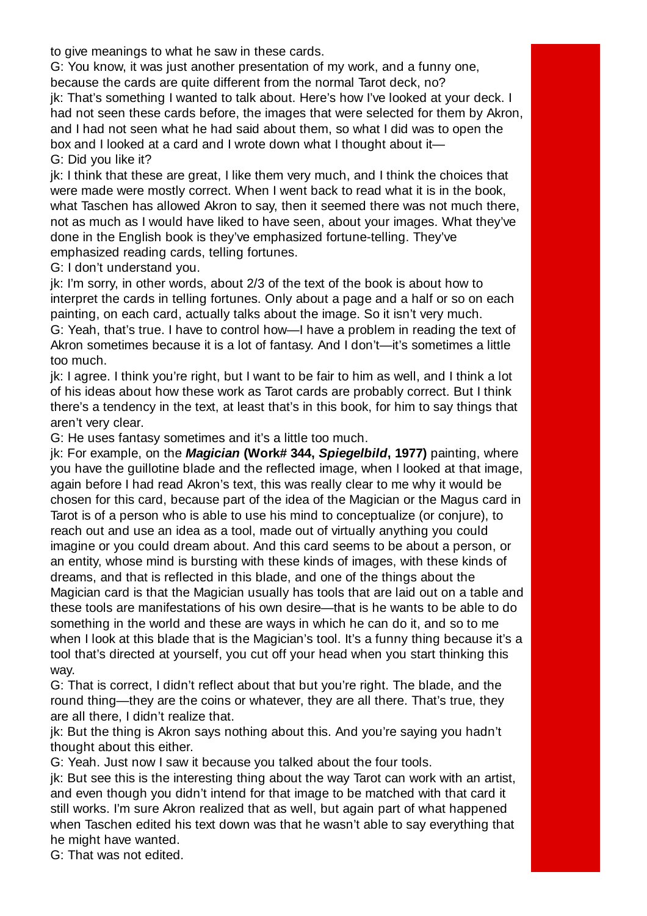to give meanings to what he saw in these cards.

G: You know, it was just another presentation of my work, and a funny one, because the cards are quite different from the normal Tarot deck, no? jk: That's something I wanted to talk about. Here's how I've looked at your deck. I had not seen these cards before, the images that were selected for them by Akron,

and I had not seen what he had said about them, so what I did was to open the box and I looked at a card and I wrote down what I thought about it—

G: Did you like it?

jk: I think that these are great, I like them very much, and I think the choices that were made were mostly correct. When I went back to read what it is in the book, what Taschen has allowed Akron to say, then it seemed there was not much there, not as much as I would have liked to have seen, about your images. What they've done in the English book is they've emphasized fortune-telling. They've emphasized reading cards, telling fortunes.

G: I don't understand you.

jk: I'm sorry, in other words, about 2/3 of the text of the book is about how to interpret the cards in telling fortunes. Only about a page and a half or so on each painting, on each card, actually talks about the image. So it isn't very much. G: Yeah, that's true. I have to control how—I have a problem in reading the text of

Akron sometimes because it is a lot of fantasy. And I don't—it's sometimes a little too much.

jk: I agree. I think you're right, but I want to be fair to him as well, and I think a lot of his ideas about how these work as Tarot cards are probably correct. But I think there's a tendency in the text, at least that's in this book, for him to say things that aren't very clear.

G: He uses fantasy sometimes and it's a little too much.

jk: For example, on the **Magician (Work# 344, Spiegelbild, 1977)** painting, where you have the guillotine blade and the reflected image, when I looked at that image, again before I had read Akron's text, this was really clear to me why it would be chosen for this card, because part of the idea of the Magician or the Magus card in Tarot is of a person who is able to use his mind to conceptualize (or conjure), to reach out and use an idea as a tool, made out of virtually anything you could imagine or you could dream about. And this card seems to be about a person, or an entity, whose mind is bursting with these kinds of images, with these kinds of dreams, and that is reflected in this blade, and one of the things about the Magician card is that the Magician usually has tools that are laid out on a table and these tools are manifestations of his own desire—that is he wants to be able to do something in the world and these are ways in which he can do it, and so to me when I look at this blade that is the Magician's tool. It's a funny thing because it's a tool that's directed at yourself, you cut off your head when you start thinking this way.

G: That is correct, I didn't reflect about that but you're right. The blade, and the round thing—they are the coins or whatever, they are all there. That's true, they are all there, I didn't realize that.

jk: But the thing is Akron says nothing about this. And you're saying you hadn't thought about this either.

G: Yeah. Just now I saw it because you talked about the four tools.

jk: But see this is the interesting thing about the way Tarot can work with an artist, and even though you didn't intend for that image to be matched with that card it still works. I'm sure Akron realized that as well, but again part of what happened when Taschen edited his text down was that he wasn't able to say everything that he might have wanted.

G: That was not edited.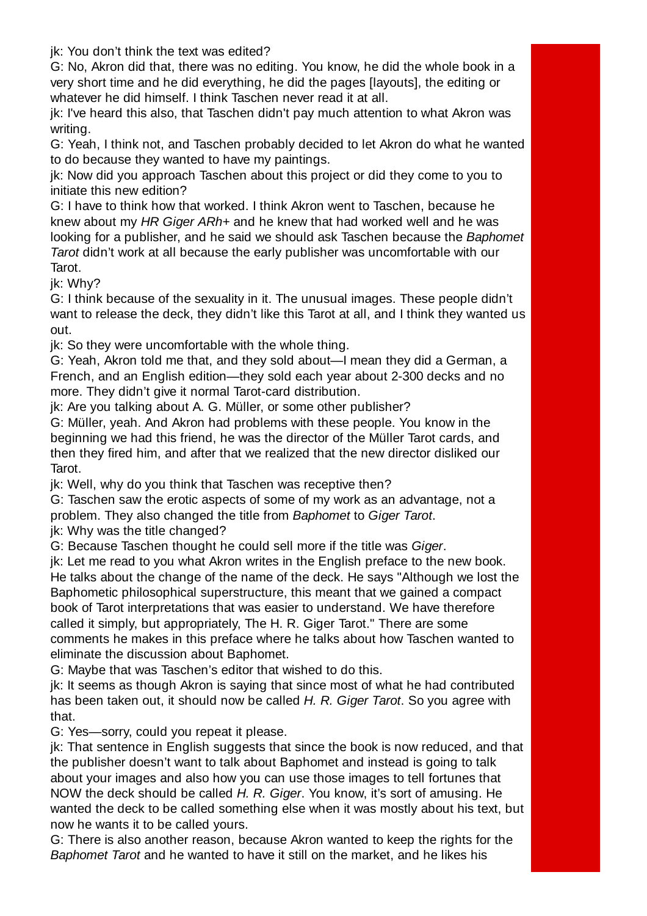jk: You don't think the text was edited?

G: No, Akron did that, there was no editing. You know, he did the whole book in a very short time and he did everything, he did the pages [layouts], the editing or whatever he did himself. I think Taschen never read it at all.

jk: I've heard this also, that Taschen didn't pay much attention to what Akron was writing.

G: Yeah, I think not, and Taschen probably decided to let Akron do what he wanted to do because they wanted to have my paintings.

jk: Now did you approach Taschen about this project or did they come to you to initiate this new edition?

G: I have to think how that worked. I think Akron went to Taschen, because he knew about my HR Giger ARh+ and he knew that had worked well and he was looking for a publisher, and he said we should ask Taschen because the Baphomet Tarot didn't work at all because the early publisher was uncomfortable with our Tarot.

jk: Why?

G: I think because of the sexuality in it. The unusual images. These people didn't want to release the deck, they didn't like this Tarot at all, and I think they wanted us out.

jk: So they were uncomfortable with the whole thing.

G: Yeah, Akron told me that, and they sold about—I mean they did a German, a French, and an English edition—they sold each year about 2-300 decks and no more. They didn't give it normal Tarot-card distribution.

jk: Are you talking about A. G. Müller, or some other publisher?

G: Müller, yeah. And Akron had problems with these people. You know in the beginning we had this friend, he was the director of the Müller Tarot cards, and then they fired him, and after that we realized that the new director disliked our Tarot.

jk: Well, why do you think that Taschen was receptive then?

G: Taschen saw the erotic aspects of some of my work as an advantage, not a problem. They also changed the title from Baphomet to Giger Tarot.

jk: Why was the title changed?

G: Because Taschen thought he could sell more if the title was Giger.

jk: Let me read to you what Akron writes in the English preface to the new book. He talks about the change of the name of the deck. He says "Although we lost the Baphometic philosophical superstructure, this meant that we gained a compact book of Tarot interpretations that was easier to understand. We have therefore called it simply, but appropriately, The H. R. Giger Tarot." There are some comments he makes in this preface where he talks about how Taschen wanted to eliminate the discussion about Baphomet.

G: Maybe that was Taschen's editor that wished to do this.

jk: It seems as though Akron is saying that since most of what he had contributed has been taken out, it should now be called H. R. Giger Tarot. So you agree with that.

G: Yes—sorry, could you repeat it please.

jk: That sentence in English suggests that since the book is now reduced, and that the publisher doesn't want to talk about Baphomet and instead is going to talk about your images and also how you can use those images to tell fortunes that NOW the deck should be called H. R. Giger. You know, it's sort of amusing. He wanted the deck to be called something else when it was mostly about his text, but now he wants it to be called yours.

G: There is also another reason, because Akron wanted to keep the rights for the Baphomet Tarot and he wanted to have it still on the market, and he likes his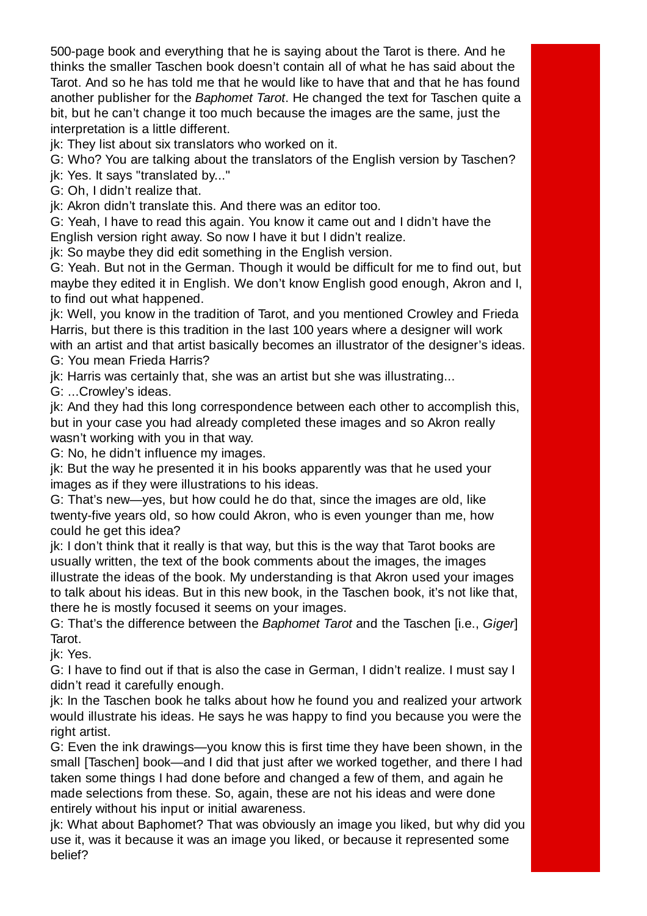500-page book and everything that he is saying about the Tarot is there. And he thinks the smaller Taschen book doesn't contain all of what he has said about the Tarot. And so he has told me that he would like to have that and that he has found another publisher for the Baphomet Tarot. He changed the text for Taschen quite a bit, but he can't change it too much because the images are the same, just the interpretation is a little different.

jk: They list about six translators who worked on it.

G: Who? You are talking about the translators of the English version by Taschen?

jk: Yes. It says "translated by..."

G: Oh, I didn't realize that.

jk: Akron didn't translate this. And there was an editor too.

G: Yeah, I have to read this again. You know it came out and I didn't have the English version right away. So now I have it but I didn't realize.

jk: So maybe they did edit something in the English version.

G: Yeah. But not in the German. Though it would be difficult for me to find out, but maybe they edited it in English. We don't know English good enough, Akron and I, to find out what happened.

jk: Well, you know in the tradition of Tarot, and you mentioned Crowley and Frieda Harris, but there is this tradition in the last 100 years where a designer will work with an artist and that artist basically becomes an illustrator of the designer's ideas. G: You mean Frieda Harris?

jk: Harris was certainly that, she was an artist but she was illustrating...

G: ...Crowley's ideas.

jk: And they had this long correspondence between each other to accomplish this, but in your case you had already completed these images and so Akron really wasn't working with you in that way.

G: No, he didn't influence my images.

jk: But the way he presented it in his books apparently was that he used your images as if they were illustrations to his ideas.

G: That's new—yes, but how could he do that, since the images are old, like twenty-five years old, so how could Akron, who is even younger than me, how could he get this idea?

jk: I don't think that it really is that way, but this is the way that Tarot books are usually written, the text of the book comments about the images, the images illustrate the ideas of the book. My understanding is that Akron used your images to talk about his ideas. But in this new book, in the Taschen book, it's not like that, there he is mostly focused it seems on your images.

G: That's the difference between the Baphomet Tarot and the Taschen [i.e., Giger] Tarot.

jk: Yes.

G: I have to find out if that is also the case in German, I didn't realize. I must say I didn't read it carefully enough.

jk: In the Taschen book he talks about how he found you and realized your artwork would illustrate his ideas. He says he was happy to find you because you were the right artist.

G: Even the ink drawings—you know this is first time they have been shown, in the small [Taschen] book—and I did that just after we worked together, and there I had taken some things I had done before and changed a few of them, and again he made selections from these. So, again, these are not his ideas and were done entirely without his input or initial awareness.

jk: What about Baphomet? That was obviously an image you liked, but why did you use it, was it because it was an image you liked, or because it represented some belief?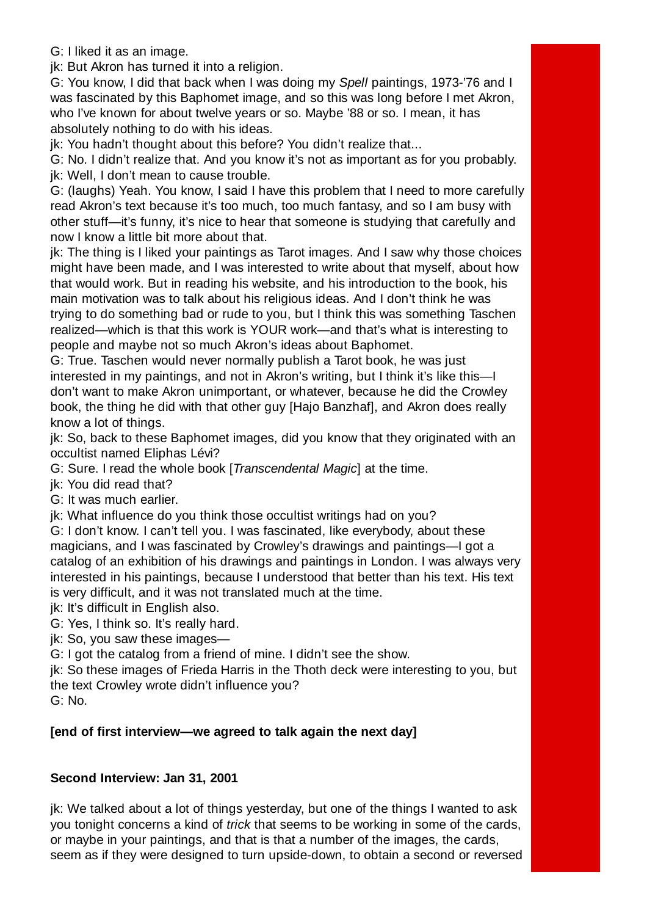G: I liked it as an image.

jk: But Akron has turned it into a religion.

G: You know, I did that back when I was doing my Spell paintings, 1973-'76 and I was fascinated by this Baphomet image, and so this was long before I met Akron, who I've known for about twelve years or so. Maybe '88 or so. I mean, it has absolutely nothing to do with his ideas.

jk: You hadn't thought about this before? You didn't realize that...

G: No. I didn't realize that. And you know it's not as important as for you probably. jk: Well, I don't mean to cause trouble.

G: (laughs) Yeah. You know, I said I have this problem that I need to more carefully read Akron's text because it's too much, too much fantasy, and so I am busy with other stuff—it's funny, it's nice to hear that someone is studying that carefully and now I know a little bit more about that.

jk: The thing is I liked your paintings as Tarot images. And I saw why those choices might have been made, and I was interested to write about that myself, about how that would work. But in reading his website, and his introduction to the book, his main motivation was to talk about his religious ideas. And I don't think he was trying to do something bad or rude to you, but I think this was something Taschen realized—which is that this work is YOUR work—and that's what is interesting to people and maybe not so much Akron's ideas about Baphomet.

G: True. Taschen would never normally publish a Tarot book, he was just interested in my paintings, and not in Akron's writing, but I think it's like this—I don't want to make Akron unimportant, or whatever, because he did the Crowley book, the thing he did with that other guy [Hajo Banzhaf], and Akron does really know a lot of things.

jk: So, back to these Baphomet images, did you know that they originated with an occultist named Eliphas Lévi?

G: Sure. I read the whole book [Transcendental Magic] at the time.

jk: You did read that?

G: It was much earlier.

jk: What influence do you think those occultist writings had on you?

G: I don't know. I can't tell you. I was fascinated, like everybody, about these magicians, and I was fascinated by Crowley's drawings and paintings—I got a catalog of an exhibition of his drawings and paintings in London. I was always very interested in his paintings, because I understood that better than his text. His text is very difficult, and it was not translated much at the time.

jk: It's difficult in English also.

G: Yes, I think so. It's really hard.

jk: So, you saw these images—

G: I got the catalog from a friend of mine. I didn't see the show.

jk: So these images of Frieda Harris in the Thoth deck were interesting to you, but the text Crowley wrote didn't influence you?

G: No.

## **[end of first interview—we agreed to talk again the next day]**

## **Second Interview: Jan 31, 2001**

jk: We talked about a lot of things yesterday, but one of the things I wanted to ask you tonight concerns a kind of *trick* that seems to be working in some of the cards, or maybe in your paintings, and that is that a number of the images, the cards, seem as if they were designed to turn upside-down, to obtain a second or reversed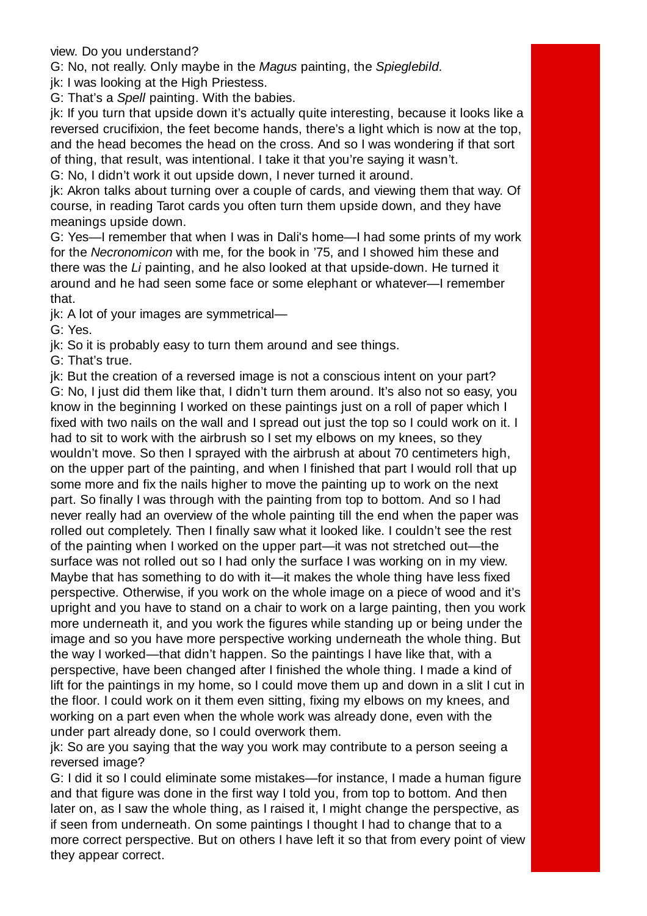view. Do you understand?

G: No, not really. Only maybe in the Magus painting, the Spieglebild.

jk: I was looking at the High Priestess.

G: That's a Spell painting. With the babies.

jk: If you turn that upside down it's actually quite interesting, because it looks like a reversed crucifixion, the feet become hands, there's a light which is now at the top, and the head becomes the head on the cross. And so I was wondering if that sort of thing, that result, was intentional. I take it that you're saying it wasn't.

G: No, I didn't work it out upside down, I never turned it around.

jk: Akron talks about turning over a couple of cards, and viewing them that way. Of course, in reading Tarot cards you often turn them upside down, and they have meanings upside down.

G: Yes—I remember that when I was in Dali's home—I had some prints of my work for the Necronomicon with me, for the book in '75, and I showed him these and there was the Li painting, and he also looked at that upside-down. He turned it around and he had seen some face or some elephant or whatever—I remember that.

jk: A lot of your images are symmetrical—

G: Yes.

jk: So it is probably easy to turn them around and see things.

G: That's true.

jk: But the creation of a reversed image is not a conscious intent on your part? G: No, I just did them like that, I didn't turn them around. It's also not so easy, you know in the beginning I worked on these paintings just on a roll of paper which I fixed with two nails on the wall and I spread out just the top so I could work on it. I had to sit to work with the airbrush so I set my elbows on my knees, so they wouldn't move. So then I sprayed with the airbrush at about 70 centimeters high, on the upper part of the painting, and when I finished that part I would roll that up some more and fix the nails higher to move the painting up to work on the next part. So finally I was through with the painting from top to bottom. And so I had never really had an overview of the whole painting till the end when the paper was rolled out completely. Then I finally saw what it looked like. I couldn't see the rest of the painting when I worked on the upper part—it was not stretched out—the surface was not rolled out so I had only the surface I was working on in my view. Maybe that has something to do with it—it makes the whole thing have less fixed perspective. Otherwise, if you work on the whole image on a piece of wood and it's upright and you have to stand on a chair to work on a large painting, then you work more underneath it, and you work the figures while standing up or being under the image and so you have more perspective working underneath the whole thing. But the way I worked—that didn't happen. So the paintings I have like that, with a perspective, have been changed after I finished the whole thing. I made a kind of lift for the paintings in my home, so I could move them up and down in a slit I cut in the floor. I could work on it them even sitting, fixing my elbows on my knees, and working on a part even when the whole work was already done, even with the under part already done, so I could overwork them.

jk: So are you saying that the way you work may contribute to a person seeing a reversed image?

G: I did it so I could eliminate some mistakes—for instance, I made a human figure and that figure was done in the first way I told you, from top to bottom. And then later on, as I saw the whole thing, as I raised it, I might change the perspective, as if seen from underneath. On some paintings I thought I had to change that to a more correct perspective. But on others I have left it so that from every point of view they appear correct.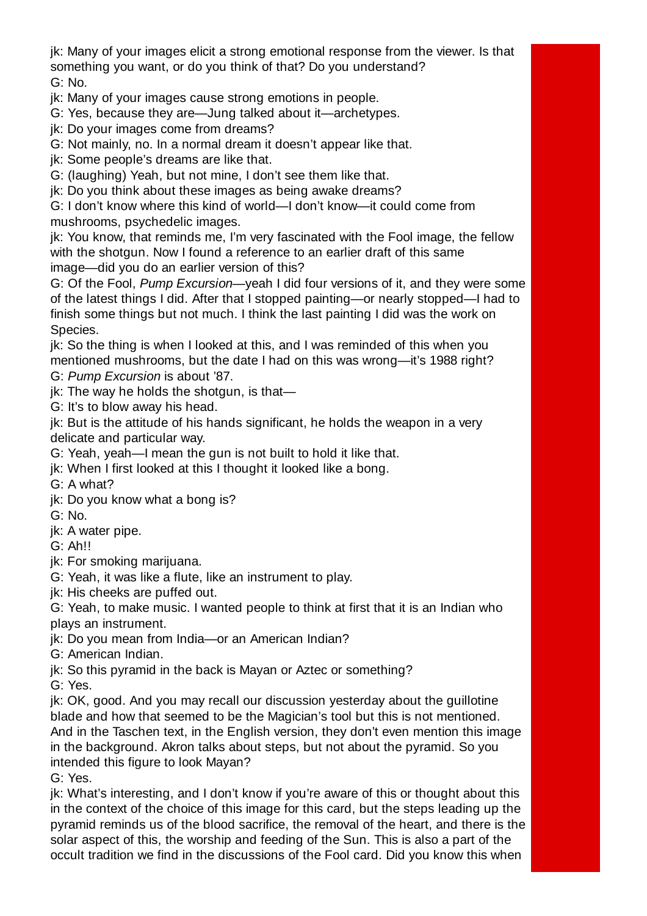jk: Many of your images elicit a strong emotional response from the viewer. Is that something you want, or do you think of that? Do you understand? G: No.

jk: Many of your images cause strong emotions in people.

G: Yes, because they are—Jung talked about it—archetypes.

ik: Do your images come from dreams?

G: Not mainly, no. In a normal dream it doesn't appear like that.

jk: Some people's dreams are like that.

G: (laughing) Yeah, but not mine, I don't see them like that.

jk: Do you think about these images as being awake dreams?

G: I don't know where this kind of world—I don't know—it could come from mushrooms, psychedelic images.

jk: You know, that reminds me, I'm very fascinated with the Fool image, the fellow with the shotgun. Now I found a reference to an earlier draft of this same image—did you do an earlier version of this?

G: Of the Fool, Pump Excursion—yeah I did four versions of it, and they were some of the latest things I did. After that I stopped painting—or nearly stopped—I had to finish some things but not much. I think the last painting I did was the work on Species.

jk: So the thing is when I looked at this, and I was reminded of this when you mentioned mushrooms, but the date I had on this was wrong—it's 1988 right?

G: Pump Excursion is about '87.

jk: The way he holds the shotgun, is that—

G: It's to blow away his head.

jk: But is the attitude of his hands significant, he holds the weapon in a very delicate and particular way.

G: Yeah, yeah—I mean the gun is not built to hold it like that.

jk: When I first looked at this I thought it looked like a bong.

G: A what?

- jk: Do you know what a bong is?
- G: No.

jk: A water pipe.

G: Ah!!

jk: For smoking marijuana.

G: Yeah, it was like a flute, like an instrument to play.

jk: His cheeks are puffed out.

G: Yeah, to make music. I wanted people to think at first that it is an Indian who plays an instrument.

jk: Do you mean from India—or an American Indian?

G: American Indian.

jk: So this pyramid in the back is Mayan or Aztec or something?

G: Yes.

jk: OK, good. And you may recall our discussion yesterday about the guillotine blade and how that seemed to be the Magician's tool but this is not mentioned. And in the Taschen text, in the English version, they don't even mention this image in the background. Akron talks about steps, but not about the pyramid. So you intended this figure to look Mayan?

G: Yes.

jk: What's interesting, and I don't know if you're aware of this or thought about this in the context of the choice of this image for this card, but the steps leading up the pyramid reminds us of the blood sacrifice, the removal of the heart, and there is the solar aspect of this, the worship and feeding of the Sun. This is also a part of the occult tradition we find in the discussions of the Fool card. Did you know this when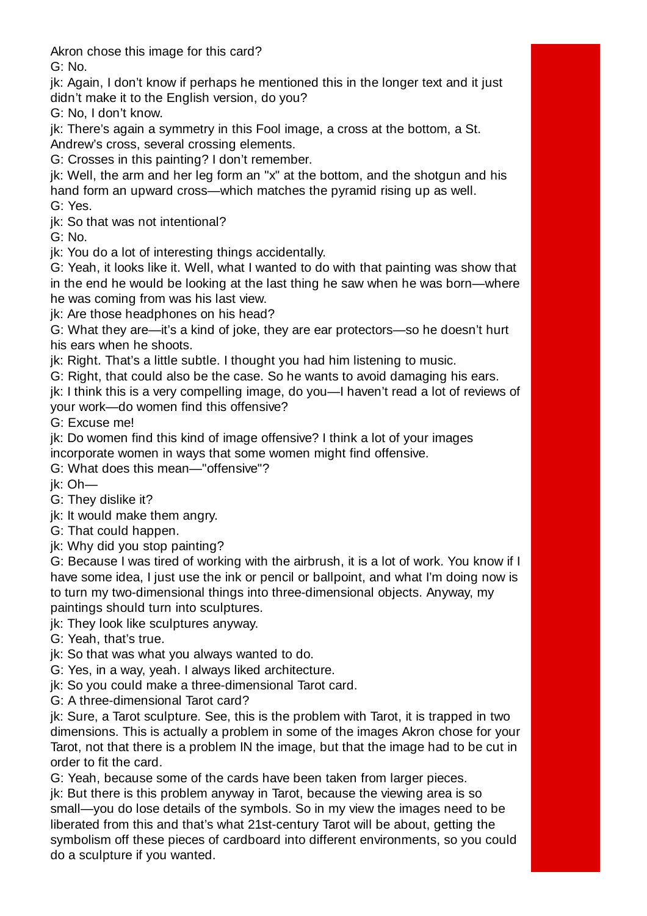Akron chose this image for this card? G: No.

jk: Again, I don't know if perhaps he mentioned this in the longer text and it just didn't make it to the English version, do you?

G: No, I don't know.

jk: There's again a symmetry in this Fool image, a cross at the bottom, a St. Andrew's cross, several crossing elements.

G: Crosses in this painting? I don't remember.

jk: Well, the arm and her leg form an "x" at the bottom, and the shotgun and his hand form an upward cross—which matches the pyramid rising up as well.

G: Yes.

ik: So that was not intentional?

G: No.

jk: You do a lot of interesting things accidentally.

G: Yeah, it looks like it. Well, what I wanted to do with that painting was show that in the end he would be looking at the last thing he saw when he was born—where he was coming from was his last view.

jk: Are those headphones on his head?

G: What they are—it's a kind of joke, they are ear protectors—so he doesn't hurt his ears when he shoots.

jk: Right. That's a little subtle. I thought you had him listening to music.

G: Right, that could also be the case. So he wants to avoid damaging his ears.

jk: I think this is a very compelling image, do you—I haven't read a lot of reviews of your work—do women find this offensive?

G: Excuse me!

jk: Do women find this kind of image offensive? I think a lot of your images incorporate women in ways that some women might find offensive.

G: What does this mean—"offensive"?

jk: Oh—

G: They dislike it?

jk: It would make them angry.

G: That could happen.

jk: Why did you stop painting?

G: Because I was tired of working with the airbrush, it is a lot of work. You know if I have some idea, I just use the ink or pencil or ballpoint, and what I'm doing now is to turn my two-dimensional things into three-dimensional objects. Anyway, my paintings should turn into sculptures.

jk: They look like sculptures anyway.

G: Yeah, that's true.

jk: So that was what you always wanted to do.

G: Yes, in a way, yeah. I always liked architecture.

jk: So you could make a three-dimensional Tarot card.

G: A three-dimensional Tarot card?

jk: Sure, a Tarot sculpture. See, this is the problem with Tarot, it is trapped in two dimensions. This is actually a problem in some of the images Akron chose for your Tarot, not that there is a problem IN the image, but that the image had to be cut in order to fit the card.

G: Yeah, because some of the cards have been taken from larger pieces.

jk: But there is this problem anyway in Tarot, because the viewing area is so small—you do lose details of the symbols. So in my view the images need to be liberated from this and that's what 21st-century Tarot will be about, getting the symbolism off these pieces of cardboard into different environments, so you could do a sculpture if you wanted.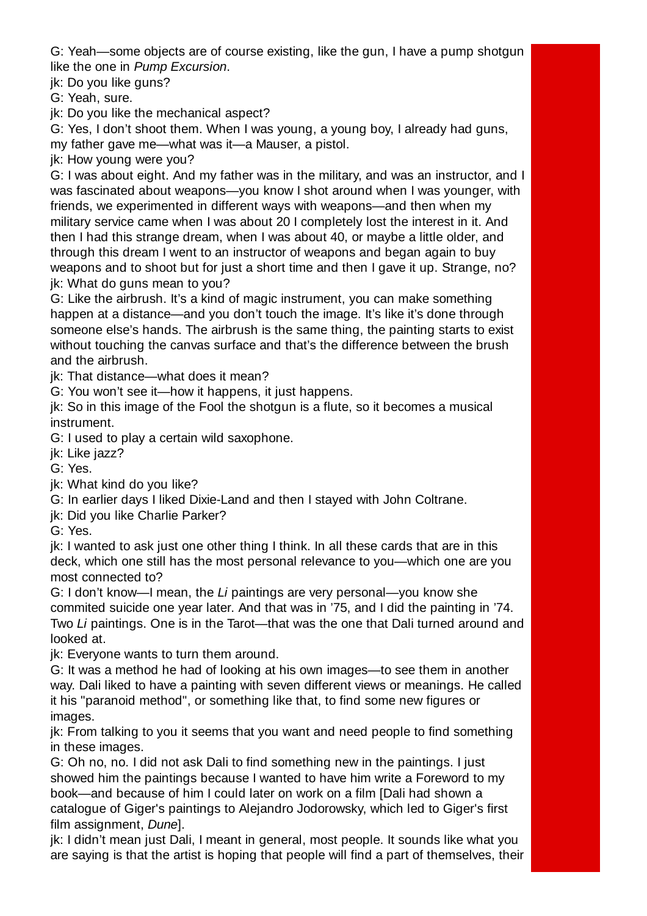G: Yeah—some objects are of course existing, like the gun, I have a pump shotgun like the one in Pump Excursion.

ik: Do you like guns?

G: Yeah, sure.

jk: Do you like the mechanical aspect?

G: Yes, I don't shoot them. When I was young, a young boy, I already had guns, my father gave me—what was it—a Mauser, a pistol.

jk: How young were you?

G: I was about eight. And my father was in the military, and was an instructor, and I was fascinated about weapons—you know I shot around when I was younger, with friends, we experimented in different ways with weapons—and then when my military service came when I was about 20 I completely lost the interest in it. And then I had this strange dream, when I was about 40, or maybe a little older, and through this dream I went to an instructor of weapons and began again to buy weapons and to shoot but for just a short time and then I gave it up. Strange, no? jk: What do guns mean to you?

G: Like the airbrush. It's a kind of magic instrument, you can make something happen at a distance—and you don't touch the image. It's like it's done through someone else's hands. The airbrush is the same thing, the painting starts to exist without touching the canvas surface and that's the difference between the brush and the airbrush.

ik: That distance—what does it mean?

G: You won't see it—how it happens, it just happens.

jk: So in this image of the Fool the shotgun is a flute, so it becomes a musical instrument.

G: I used to play a certain wild saxophone.

ik: Like jazz?

G: Yes.

jk: What kind do you like?

G: In earlier days I liked Dixie-Land and then I stayed with John Coltrane.

jk: Did you like Charlie Parker?

G: Yes.

jk: I wanted to ask just one other thing I think. In all these cards that are in this deck, which one still has the most personal relevance to you—which one are you most connected to?

G: I don't know—I mean, the Li paintings are very personal—you know she commited suicide one year later. And that was in '75, and I did the painting in '74. Two Li paintings. One is in the Tarot—that was the one that Dali turned around and looked at.

jk: Everyone wants to turn them around.

G: It was a method he had of looking at his own images—to see them in another way. Dali liked to have a painting with seven different views or meanings. He called it his "paranoid method", or something like that, to find some new figures or images.

jk: From talking to you it seems that you want and need people to find something in these images.

G: Oh no, no. I did not ask Dali to find something new in the paintings. I just showed him the paintings because I wanted to have him write a Foreword to my book—and because of him I could later on work on a film [Dali had shown a catalogue of Giger's paintings to Alejandro Jodorowsky, which led to Giger's first film assignment, Dune].

jk: I didn't mean just Dali, I meant in general, most people. It sounds like what you are saying is that the artist is hoping that people will find a part of themselves, their